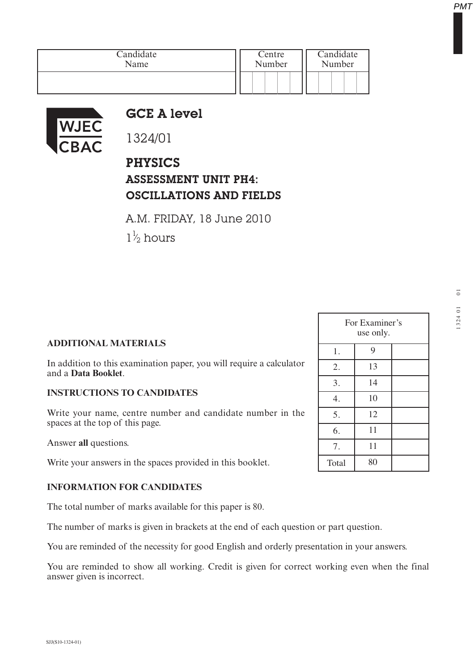| Candidate | Centre | Candidate |
|-----------|--------|-----------|
| Name      | Number | Number    |
|           |        |           |



## GCE A level

1324/01

PHYSICS ASSESSMENT UNIT PH4: OSCILLATIONS AND FIELDS

A.M. FRIDAY, 18 June 2010

 $1\frac{1}{2}$  hours ⁄

## **ADDITIONAL MATERIALS**

In addition to this examination paper, you will require a calculator and a **Data Booklet**.

## **INSTRUCTIONS TO CANDIDATES**

Write your name, centre number and candidate number in the spaces at the top of this page.

Answer **all** questions.

Write your answers in the spaces provided in this booklet.

## **INFORMATION FOR CANDIDATES**

The total number of marks available for this paper is 80.

The number of marks is given in brackets at the end of each question or part question.

You are reminded of the necessity for good English and orderly presentation in your answers.

You are reminded to show all working. Credit is given for correct working even when the final answer given is incorrect.

| For Examiner's<br>use only. |    |  |  |
|-----------------------------|----|--|--|
| 1.                          | 9  |  |  |
| 2.                          | 13 |  |  |
| 3.                          | 14 |  |  |
| 4.                          | 10 |  |  |
| 5.                          | 12 |  |  |
| 6.                          | 11 |  |  |
| 7.                          | 11 |  |  |
| Total                       | 80 |  |  |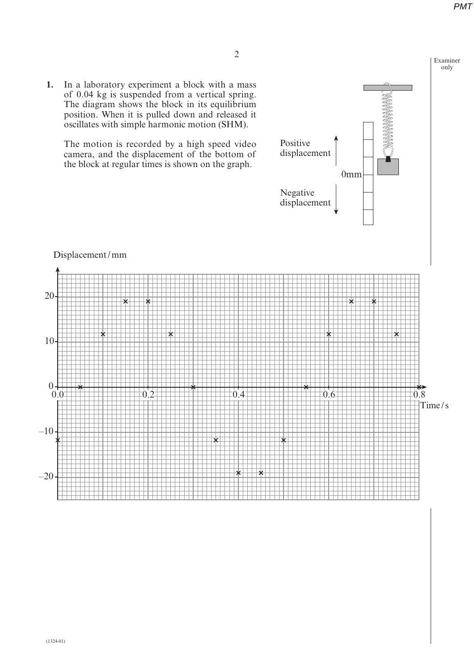**1.** In a laboratory experiment a block with a mass of 0.04 kg is suspended from a vertical spring. The diagram shows the block in its equilibrium position. When it is pulled down and released it oscillates with simple harmonic motion (SHM).

The motion is recorded by a high speed video camera, and the displacement of the bottom of the block at regular times is shown on the graph.





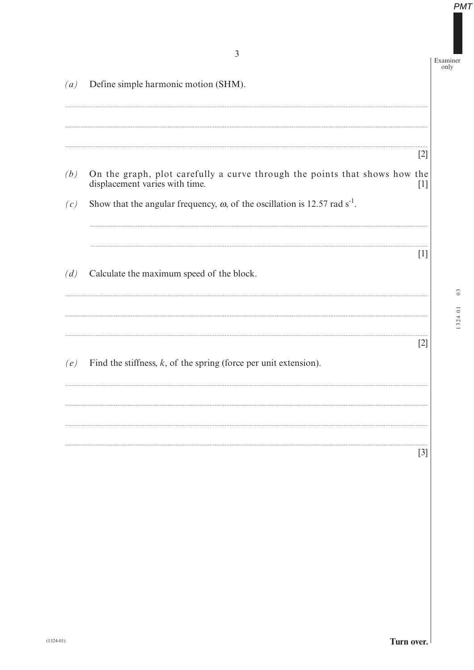Examiner<br>only

| (a) | Define simple harmonic motion (SHM).                                                                         |                   |
|-----|--------------------------------------------------------------------------------------------------------------|-------------------|
|     |                                                                                                              |                   |
|     |                                                                                                              | [2]               |
| (b) | On the graph, plot carefully a curve through the points that shows how the<br>displacement varies with time. | $\lceil 1 \rceil$ |
| (c) | Show that the angular frequency, $\omega$ , of the oscillation is 12.57 rad s <sup>-1</sup> .                |                   |
| (d) | Calculate the maximum speed of the block.                                                                    | $\lceil 1 \rceil$ |
|     |                                                                                                              |                   |
|     |                                                                                                              | $[2]$             |
| (e) | Find the stiffness, $k$ , of the spring (force per unit extension).                                          |                   |
|     |                                                                                                              |                   |
|     |                                                                                                              |                   |
|     |                                                                                                              | $[3]$             |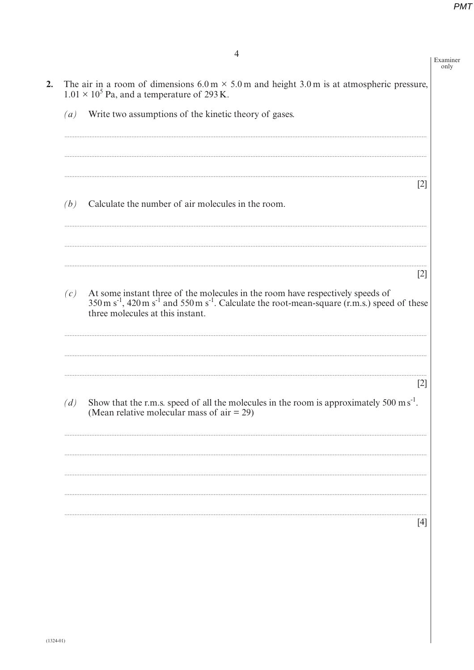| $\left( a\right)$ | Write two assumptions of the kinetic theory of gases.                                                                                                                                                                                                  |
|-------------------|--------------------------------------------------------------------------------------------------------------------------------------------------------------------------------------------------------------------------------------------------------|
| (b)               | [2]<br>Calculate the number of air molecules in the room.                                                                                                                                                                                              |
|                   | $\lceil 2 \rceil$                                                                                                                                                                                                                                      |
| (c)               | At some instant three of the molecules in the room have respectively speeds of $350 \text{ m s}^{-1}$ , $420 \text{ m s}^{-1}$ and $550 \text{ m s}^{-1}$ . Calculate the root-mean-square (r.m.s.) speed of these<br>three molecules at this instant. |
| (d)               | $[2]$<br>Show that the r.m.s. speed of all the molecules in the room is approximately 500 m $s^{-1}$ .<br>(Mean relative molecular mass of air $= 29$ )                                                                                                |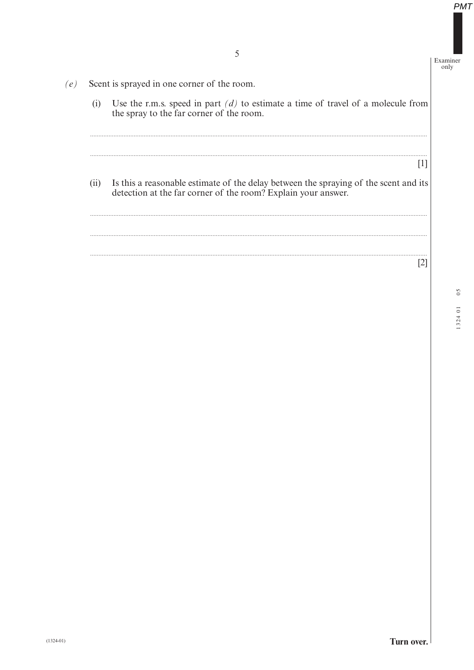Examiner  $\overline{only}$ 

Scent is sprayed in one corner of the room. Use the r.m.s. speed in part  $(d)$  to estimate a time of travel of a molecule from  $(i)$ the spray to the far corner of the room.  $[1]$  $(ii)$ Is this a reasonable estimate of the delay between the spraying of the scent and its detection at the far corner of the room? Explain your answer.  $[2]$ 

 $(e)$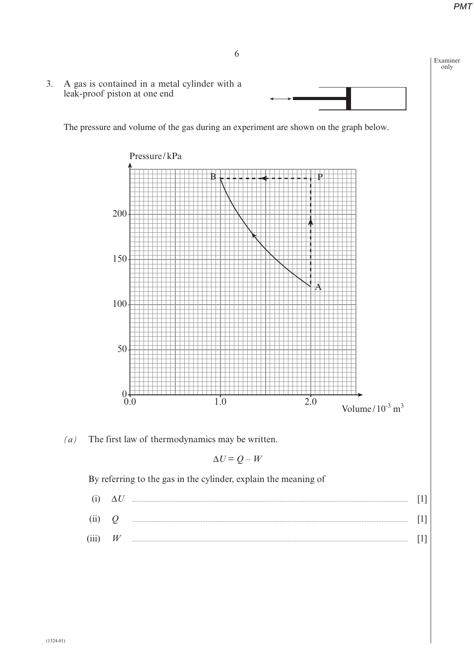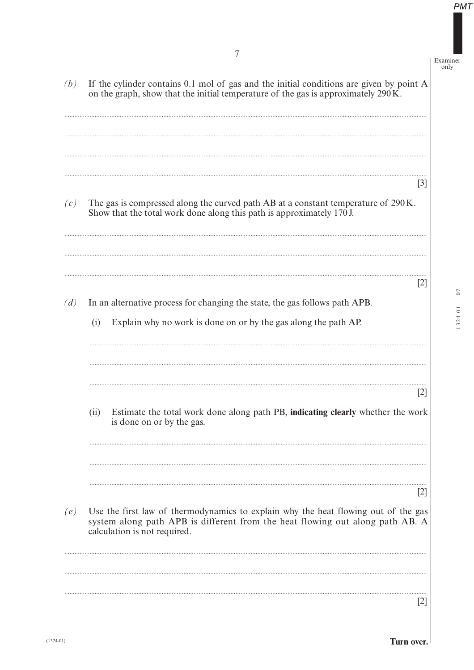$07$ 

1324 01

Examiner<br>only

 $PMT$ 

| (b) | If the cylinder contains 0.1 mol of gas and the initial conditions are given by point A<br>on the graph, show that the initial temperature of the gas is approximately 290K.                               |
|-----|------------------------------------------------------------------------------------------------------------------------------------------------------------------------------------------------------------|
| (c) | $[3]$<br>The gas is compressed along the curved path AB at a constant temperature of 290 K.<br>Show that the total work done along this path is approximately 170 J.                                       |
| (d) | [2]<br>In an alternative process for changing the state, the gas follows path APB.<br>Explain why no work is done on or by the gas along the path AP.<br>(i)                                               |
|     | $[2]$<br>Estimate the total work done along path PB, indicating clearly whether the work<br>(ii)<br>is done on or by the gas.                                                                              |
| (e) | [2]<br>Use the first law of thermodynamics to explain why the heat flowing out of the gas<br>system along path APB is different from the heat flowing out along path AB. A<br>calculation is not required. |
|     | 2                                                                                                                                                                                                          |

Turn over.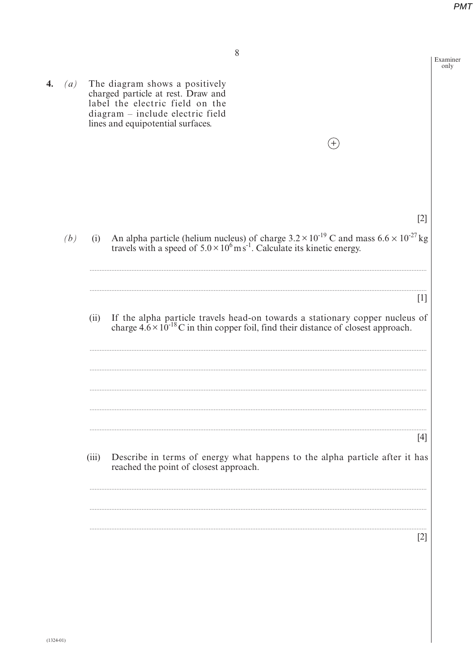8 Examiner only 4.  $(a)$ The diagram shows a positively charged particle at rest. Draw and label the electric field on the diagram – include electric field lines and equipotential surfaces.  $^{(+)}$  $[2]$ An alpha particle (helium nucleus) of charge  $3.2 \times 10^{-19}$  C and mass  $6.6 \times 10^{-27}$  kg travels with a speed of  $5.0 \times 10^6$  ms<sup>-1</sup>. Calculate its kinetic energy.  $(b)$  $(i)$  $[1]$ If the alpha particle travels head-on towards a stationary copper nucleus of charge  $4.6 \times 10^{-18}$ C in thin copper foil, find their distance of closest approach.  $(ii)$  $[4]$  $(iii)$ Describe in terms of energy what happens to the alpha particle after it has reached the point of closest approach.  $[2]$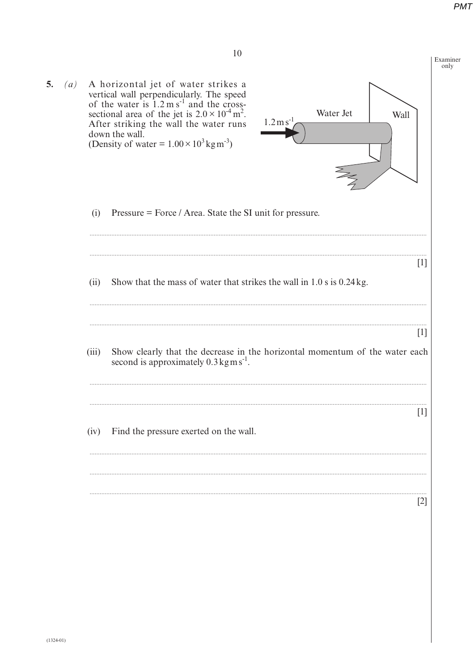10 Examiner only A horizontal jet of water strikes a<br>vertical wall perpendicularly. The speed<br>of the water is  $1.2 \text{ m s}^{-1}$  and the cross-<br>sectional area of the jet is  $2.0 \times 10^{-4} \text{ m}^2$ . 5.  $(a)$ Water Jet Wall  $1.2 \,\mathrm{m}\,\mathrm{s}$ After striking the wall the water runs down the wall. (Density of water =  $1.00 \times 10^3$  kg m<sup>-3</sup>) Pressure = Force / Area. State the SI unit for pressure.  $(i)$  $\lceil 1 \rceil$  $(ii)$ Show that the mass of water that strikes the wall in  $1.0$  s is  $0.24$  kg.  $[1]$  $(iii)$ Show clearly that the decrease in the horizontal momentum of the water each second is approximately  $0.3 \text{kg m s}^{-1}$ .  $\lceil 1 \rceil$  $(iv)$ Find the pressure exerted on the wall.  $[2]$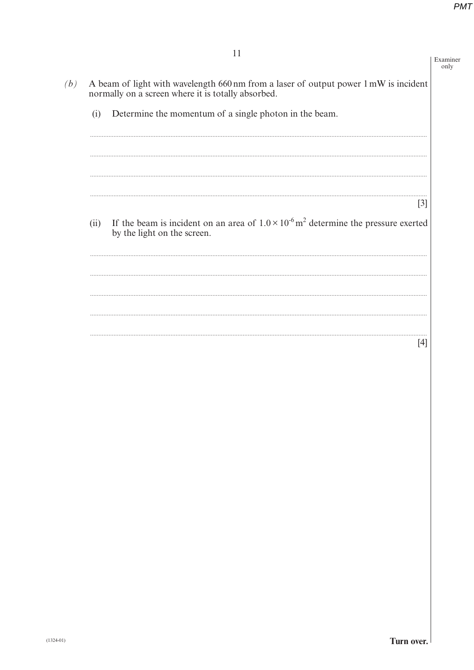Examiner only

- A beam of light with wavelength 660 nm from a laser of output power 1 mW is incident normally on a screen where it is totally absorbed.  $(b)$ 
	- Determine the momentum of a single photon in the beam.  $(i)$

 $\lceil 3 \rceil$ If the beam is incident on an area of  $1.0 \times 10^{-6}$  m<sup>2</sup> determine the pressure exerted  $(ii)$ by the light on the screen.

 $[4]$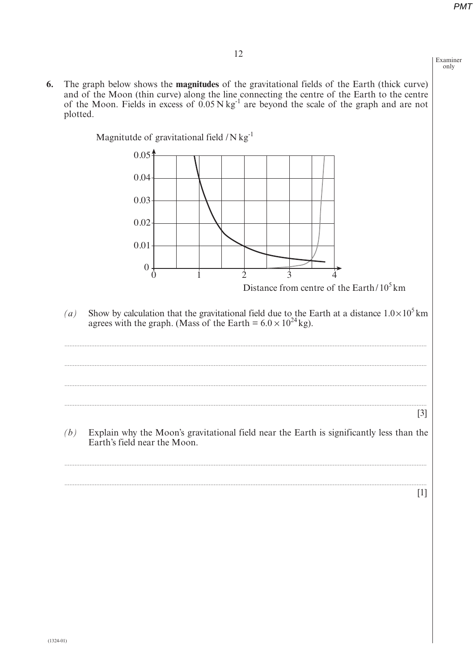Examiner only

The graph below shows the magnitudes of the gravitational fields of the Earth (thick curve) 6. and of the Moon (thin curve) along the line connecting the centre of the Earth to the centre of the Moon. Fields in excess of  $0.05 \text{ N kg}^{-1}$  are beyond the scale of the graph and are not plotted.



 $[1]$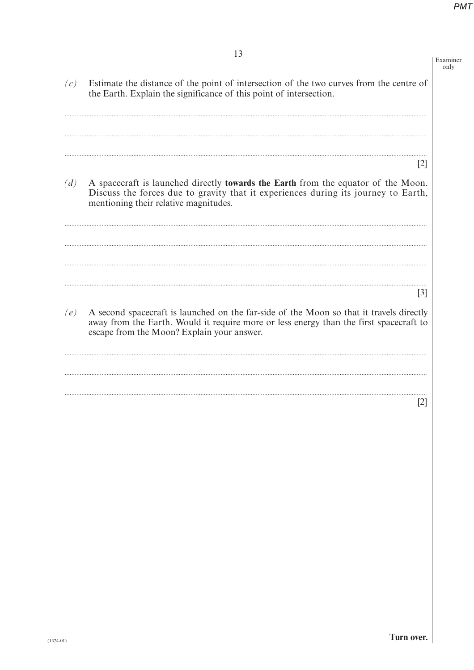|     |                                                                                                                                                                                                                                 | Examiner<br>only |
|-----|---------------------------------------------------------------------------------------------------------------------------------------------------------------------------------------------------------------------------------|------------------|
| (c) | Estimate the distance of the point of intersection of the two curves from the centre of<br>the Earth. Explain the significance of this point of intersection.                                                                   |                  |
|     | $\lceil 2 \rceil$                                                                                                                                                                                                               |                  |
| (d) | A spacecraft is launched directly <b>towards the Earth</b> from the equator of the Moon.<br>Discuss the forces due to gravity that it experiences during its journey to Earth,<br>mentioning their relative magnitudes.         |                  |
|     | $\lceil 3 \rceil$                                                                                                                                                                                                               |                  |
| (e) | A second spacecraft is launched on the far-side of the Moon so that it travels directly<br>away from the Earth. Would it require more or less energy than the first spacecraft to<br>escape from the Moon? Explain your answer. |                  |
|     | $\lceil 2 \rceil$                                                                                                                                                                                                               |                  |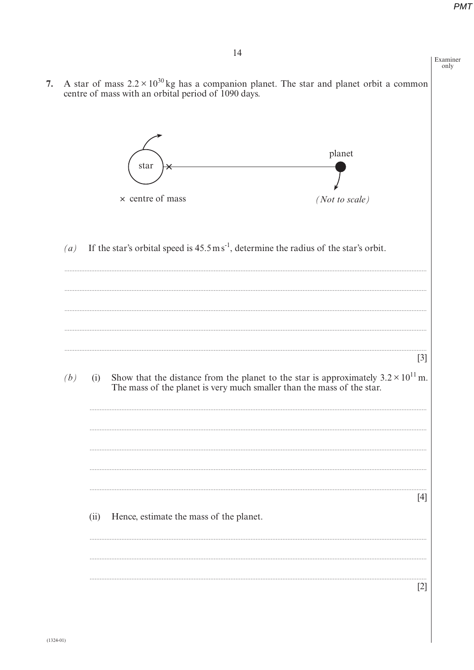Examiner only

- 7. A star of mass  $2.2 \times 10^{30}$  kg has a companion planet. The star and planet orbit a common centre of mass with an orbital period of 1090 days. planet star  $\times$  centre of mass (Not to scale)
	- If the star's orbital speed is  $45.5 \text{ m s}^{-1}$ , determine the radius of the star's orbit.  $(a)$

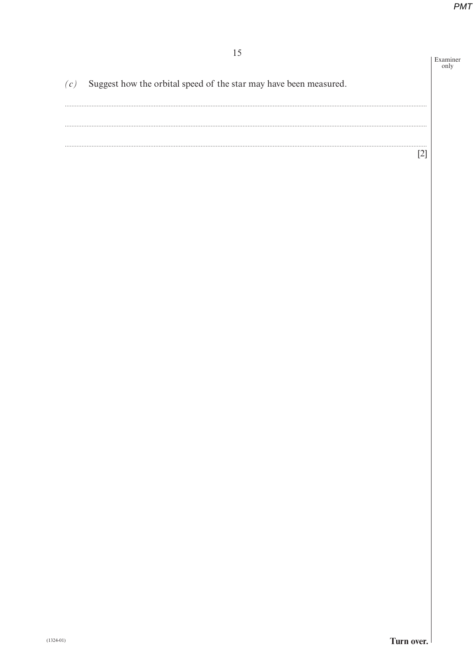15 Examiner<br>only  $(c)$ Suggest how the orbital speed of the star may have been measured.  $[2]$